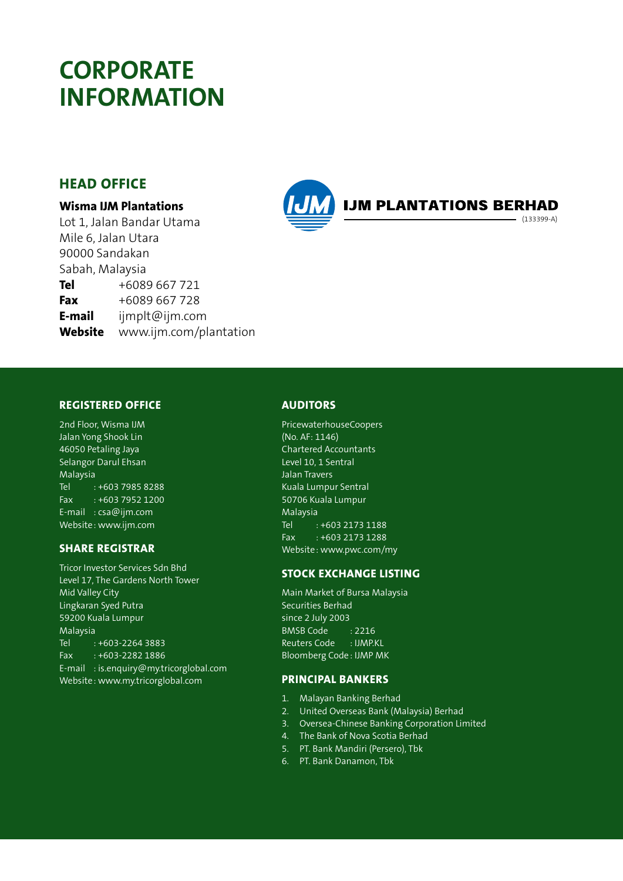## **CORPORATE INFORMATION**

#### **HEAD OFFICE**

#### **Wisma IJM Plantations**

Lot 1, Jalan Bandar Utama Mile 6, Jalan Utara 90000 Sandakan Sabah, Malaysia **Tel** +6089 667 721 **Fax** +6089 667 728 **E-mail** ijmplt@ijm.com **Website** www.ijm.com/plantation



#### **REGISTERED OFFICE**

2nd Floor, Wisma IJM Jalan Yong Shook Lin 46050 Petaling Jaya Selangor Darul Ehsan Malaysia Tel : +603 7985 8288 Fax : +603 7952 1200 E-mail : csa@ijm.com Website: www.ijm.com

#### **SHARE REGISTRAR**

Tricor Investor Services Sdn Bhd Level 17, The Gardens North Tower Mid Valley City Lingkaran Syed Putra 59200 Kuala Lumpur Malaysia Tel : +603-2264 3883 Fax : +603-2282 1886 E-mail : is.enquiry@my.tricorglobal.com Website: www.my.tricorglobal.com

#### **AUDITORS**

PricewaterhouseCoopers (No. AF: 1146) Chartered Accountants Level 10, 1 Sentral Jalan Travers Kuala Lumpur Sentral 50706 Kuala Lumpur Malaysia Tel : +603 2173 1188 Fax : +603 2173 1288 Website: www.pwc.com/my

#### **STOCK EXCHANGE LISTING**

Main Market of Bursa Malaysia Securities Berhad since 2 July 2003 BMSB Code : 2216 Reuters Code : IJMP.KL Bloomberg Code: IJMP MK

#### **PRINCIPAL BANKERS**

- 1. Malayan Banking Berhad
- 2. United Overseas Bank (Malaysia) Berhad
- 3. Oversea-Chinese Banking Corporation Limited
- 4. The Bank of Nova Scotia Berhad
- 5. PT. Bank Mandiri (Persero), Tbk
- 6. PT. Bank Danamon, Tbk